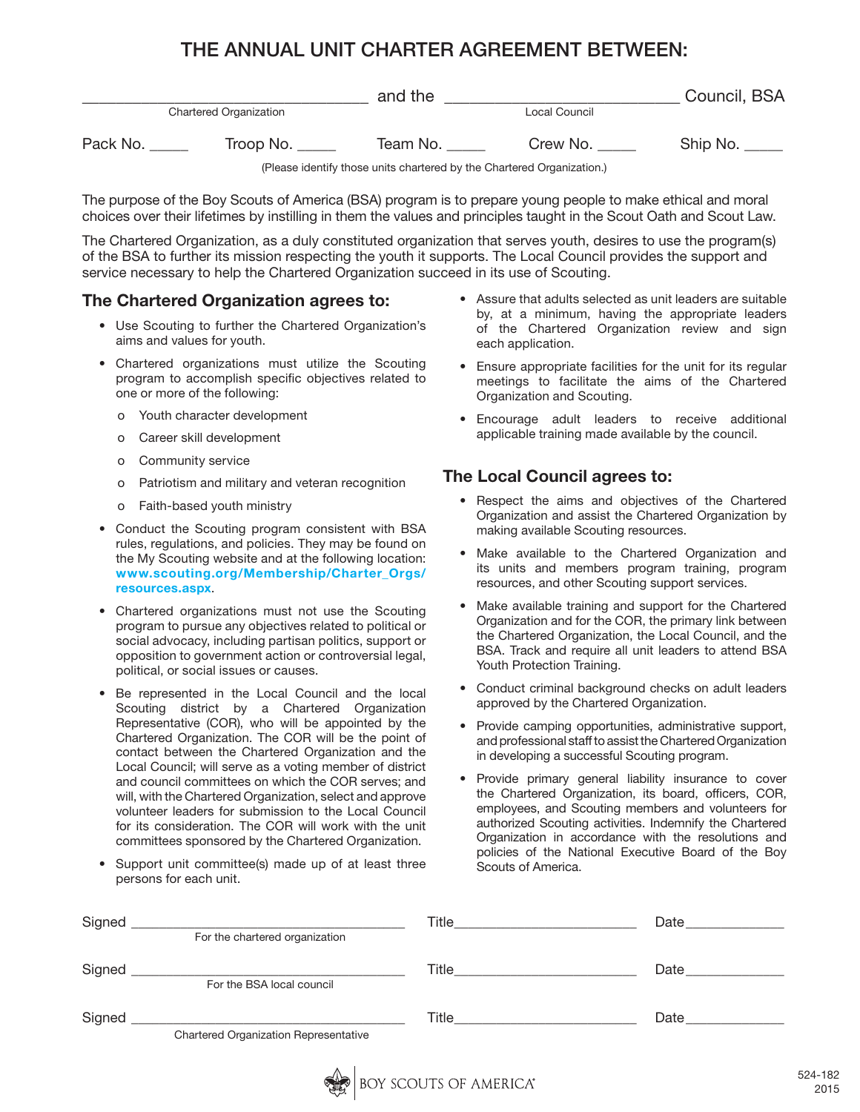## THE ANNUAL UNIT CHARTER AGREEMENT BETWEEN:

|                               |           | and the  |               | Council, BSA |
|-------------------------------|-----------|----------|---------------|--------------|
| <b>Chartered Organization</b> |           |          | Local Council |              |
| Pack No.                      | Troop No. | Team No. | Crew No.      | Ship No.     |

(Please identify those units chartered by the Chartered Organization.)

The purpose of the Boy Scouts of America (BSA) program is to prepare young people to make ethical and moral choices over their lifetimes by instilling in them the values and principles taught in the Scout Oath and Scout Law.

The Chartered Organization, as a duly constituted organization that serves youth, desires to use the program(s) of the BSA to further its mission respecting the youth it supports. The Local Council provides the support and service necessary to help the Chartered Organization succeed in its use of Scouting.

## The Chartered Organization agrees to:

- Use Scouting to further the Chartered Organization's aims and values for youth.
- Chartered organizations must utilize the Scouting program to accomplish specific objectives related to one or more of the following:
	- o Youth character development
	- o Career skill development
	- o Community service
	- o Patriotism and military and veteran recognition
	- o Faith-based youth ministry
- Conduct the Scouting program consistent with BSA rules, regulations, and policies. They may be found on the My Scouting website and at the following location: www.scouting.org/Membership/Charter\_Orgs/ resources.aspx.
- Chartered organizations must not use the Scouting program to pursue any objectives related to political or social advocacy, including partisan politics, support or opposition to government action or controversial legal, political, or social issues or causes.
- Be represented in the Local Council and the local Scouting district by a Chartered Organization Representative (COR), who will be appointed by the Chartered Organization. The COR will be the point of contact between the Chartered Organization and the Local Council; will serve as a voting member of district and council committees on which the COR serves; and will, with the Chartered Organization, select and approve volunteer leaders for submission to the Local Council for its consideration. The COR will work with the unit committees sponsored by the Chartered Organization.
- Support unit committee(s) made up of at least three persons for each unit.
- Assure that adults selected as unit leaders are suitable by, at a minimum, having the appropriate leaders of the Chartered Organization review and sign each application.
- Ensure appropriate facilities for the unit for its regular meetings to facilitate the aims of the Chartered Organization and Scouting.
- Encourage adult leaders to receive additional applicable training made available by the council.

## The Local Council agrees to:

- Respect the aims and objectives of the Chartered Organization and assist the Chartered Organization by making available Scouting resources.
- Make available to the Chartered Organization and its units and members program training, program resources, and other Scouting support services.
- Make available training and support for the Chartered Organization and for the COR, the primary link between the Chartered Organization, the Local Council, and the BSA. Track and require all unit leaders to attend BSA Youth Protection Training.
- Conduct criminal background checks on adult leaders approved by the Chartered Organization.
- Provide camping opportunities, administrative support, and professional staff to assist the Chartered Organization in developing a successful Scouting program.
- Provide primary general liability insurance to cover the Chartered Organization, its board, officers, COR, employees, and Scouting members and volunteers for authorized Scouting activities. Indemnify the Chartered Organization in accordance with the resolutions and policies of the National Executive Board of the Boy Scouts of America.

| Signed |                                                                                                                                                     | Title | Date |
|--------|-----------------------------------------------------------------------------------------------------------------------------------------------------|-------|------|
|        | For the chartered organization                                                                                                                      |       |      |
| Signed | <u> 1989 - Jan Barbarat, manazarta da kasas da shekara 1989 - Ang Barbarat na Barbarat na Barbarat na Barbarat na </u><br>For the BSA local council | Title | Date |
| Signed |                                                                                                                                                     | Title | Date |
|        | Chartered Organization Representative                                                                                                               |       |      |